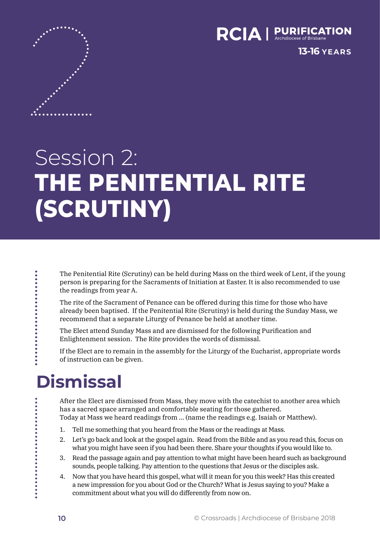

**13-16 YEARS**

# Session 2: **THE PENITENTIAL RITE (SCRUTINY)**

The Penitential Rite (Scrutiny) can be held during Mass on the third week of Lent, if the young person is preparing for the Sacraments of Initiation at Easter. It is also recommended to use the readings from year A.

The rite of the Sacrament of Penance can be offered during this time for those who have already been baptised. If the Penitential Rite (Scrutiny) is held during the Sunday Mass, we recommend that a separate Liturgy of Penance be held at another time.

The Elect attend Sunday Mass and are dismissed for the following Purification and Enlightenment session. The Rite provides the words of dismissal.

If the Elect are to remain in the assembly for the Liturgy of the Eucharist, appropriate words of instruction can be given.

## **Dismissal**

After the Elect are dismissed from Mass, they move with the catechist to another area which has a sacred space arranged and comfortable seating for those gathered. Today at Mass we heard readings from … (name the readings e.g. Isaiah or Matthew).

- 1. Tell me something that you heard from the Mass or the readings at Mass.
- 2. Let's go back and look at the gospel again. Read from the Bible and as you read this, focus on what you might have seen if you had been there. Share your thoughts if you would like to.
- 3. Read the passage again and pay attention to what might have been heard such as background sounds, people talking. Pay attention to the questions that Jesus or the disciples ask.
- 4. Now that you have heard this gospel, what will it mean for you this week? Has this created a new impression for you about God or the Church? What is Jesus saying to you? Make a commitment about what you will do differently from now on.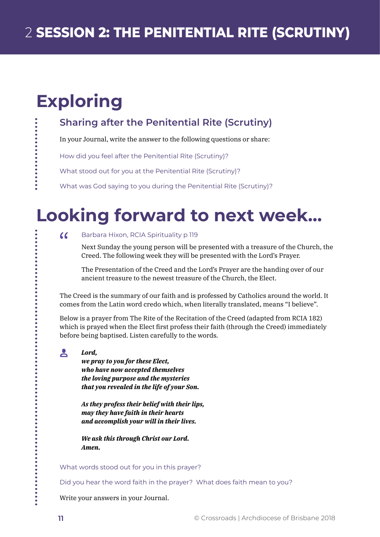## **Exploring**

### **Sharing after the Penitential Rite (Scrutiny)**

In your Journal, write the answer to the following questions or share:

How did you feel after the Penitential Rite (Scrutiny)?

What stood out for you at the Penitential Rite (Scrutiny)?

What was God saying to you during the Penitential Rite (Scrutiny)?

## **Looking forward to next week...**

### $\alpha$ Barbara Hixon, RCIA Spirituality p 119

Next Sunday the young person will be presented with a treasure of the Church, the Creed. The following week they will be presented with the Lord's Prayer.

The Presentation of the Creed and the Lord's Prayer are the handing over of our ancient treasure to the newest treasure of the Church, the Elect.

The Creed is the summary of our faith and is professed by Catholics around the world. It comes from the Latin word credo which, when literally translated, means "I believe".

Below is a prayer from The Rite of the Recitation of the Creed (adapted from RCIA 182) which is prayed when the Elect first profess their faith (through the Creed) immediately before being baptised. Listen carefully to the words.

#### $\mathbf{A}$ *Lord,*

*we pray to you for these Elect, who have now accepted themselves the loving purpose and the mysteries that you revealed in the life of your Son.*

*As they profess their belief with their lips, may they have faith in their hearts and accomplish your will in their lives.*

*We ask this through Christ our Lord. Amen.*

What words stood out for you in this prayer?

Did you hear the word faith in the prayer? What does faith mean to you?

Write your answers in your Journal.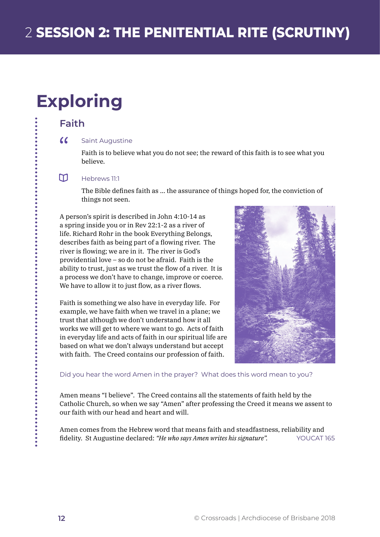## **Exploring**

### **Faith**

#### $\alpha$ Saint Augustine

Faith is to believe what you do not see; the reward of this faith is to see what you believe.

#### m. Hebrews 11:1

The Bible defines faith as … the assurance of things hoped for, the conviction of things not seen.

A person's spirit is described in John 4:10-14 as a spring inside you or in Rev 22:1-2 as a river of life. Richard Rohr in the book Everything Belongs, describes faith as being part of a flowing river. The river is flowing; we are in it. The river is God's providential love – so do not be afraid. Faith is the ability to trust, just as we trust the flow of a river. It is a process we don't have to change, improve or coerce. We have to allow it to just flow, as a river flows.

Faith is something we also have in everyday life. For example, we have faith when we travel in a plane; we trust that although we don't understand how it all works we will get to where we want to go. Acts of faith in everyday life and acts of faith in our spiritual life are based on what we don't always understand but accept with faith. The Creed contains our profession of faith.



Did you hear the word Amen in the prayer? What does this word mean to you?

Amen means "I believe". The Creed contains all the statements of faith held by the Catholic Church, so when we say "Amen" after professing the Creed it means we assent to our faith with our head and heart and will.

Amen comes from the Hebrew word that means faith and steadfastness, reliability and fidelity. St Augustine declared: *"He who says Amen writes his signature".* YOUCAT 165